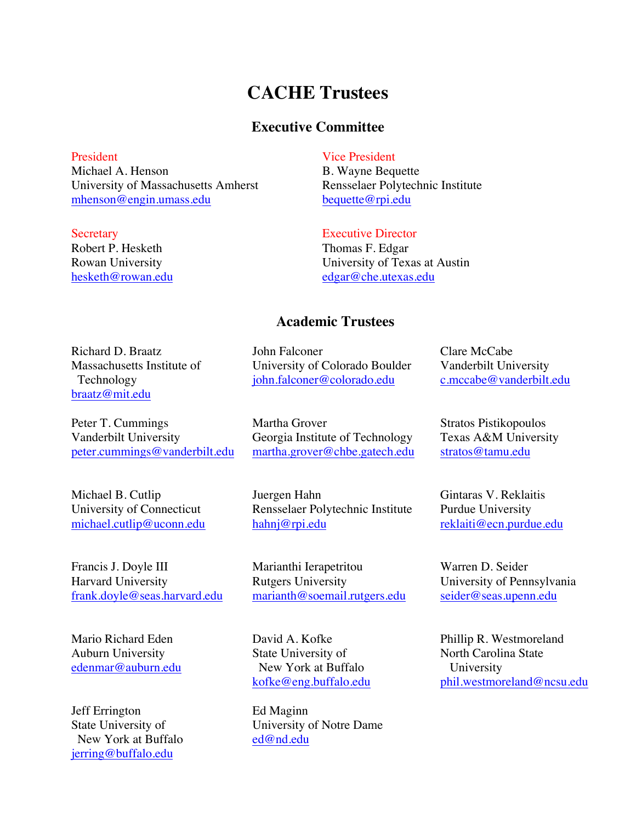# **CACHE Trustees**

### **Executive Committee**

President Michael A. Henson University of Massachusetts Amherst mhenson@engin.umass.edu

**Secretary** Robert P. Hesketh Rowan University hesketh@rowan.edu

### Vice President

B. Wayne Bequette Rensselaer Polytechnic Institute bequette@rpi.edu

#### Executive Director

Thomas F. Edgar University of Texas at Austin edgar@che.utexas.edu

### **Academic Trustees**

University of Colorado Boulder john.falconer@colorado.edu

John Falconer

Richard D. Braatz Massachusetts Institute of Technology braatz@mit.edu

Peter T. Cummings Vanderbilt University peter.cummings@vanderbilt.edu

Michael B. Cutlip University of Connecticut michael.cutlip@uconn.edu

Francis J. Doyle III Harvard University frank.doyle@seas.harvard.edu

Mario Richard Eden Auburn University edenmar@auburn.edu

Jeff Errington State University of New York at Buffalo jerring@buffalo.edu

Martha Grover

Clare McCabe Vanderbilt University c.mccabe@vanderbilt.edu

Stratos Pistikopoulos Texas A&M University stratos@tamu.edu

Gintaras V. Reklaitis Purdue University reklaiti@ecn.purdue.edu

Warren D. Seider University of Pennsylvania seider@seas.upenn.edu

Phillip R. Westmoreland North Carolina State University phil.westmoreland@ncsu.edu

Georgia Institute of Technology martha.grover@chbe.gatech.edu

Juergen Hahn Rensselaer Polytechnic Institute hahnj@rpi.edu

Marianthi Ierapetritou Rutgers University marianth@soemail.rutgers.edu

David A. Kofke State University of New York at Buffalo kofke@eng.buffalo.edu

Ed Maginn University of Notre Dame ed@nd.edu